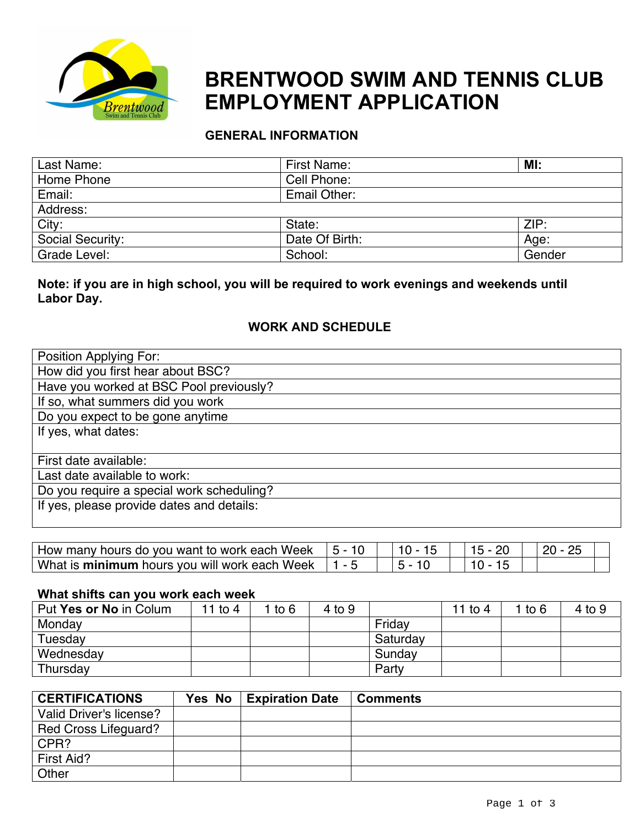

# **EMPLOYMENT APPLICATION BRENTWOOD SWIM AND TENNIS CLUB**

# **GENERAL INFORMATION**

| Last Name:       | First Name:    | MI:    |
|------------------|----------------|--------|
| Home Phone       | Cell Phone:    |        |
| Email:           | Email Other:   |        |
| Address:         |                |        |
| City:            | State:         | ZIP:   |
| Social Security: | Date Of Birth: | Age:   |
| Grade Level:     | School:        | Gender |

# **Note: if you are in high school, you will be required to work evenings and weekends until Labor Day.**

# **WORK AND SCHEDULE**

| Position Applying For:                    |
|-------------------------------------------|
| How did you first hear about BSC?         |
| Have you worked at BSC Pool previously?   |
| If so, what summers did you work          |
| Do you expect to be gone anytime          |
| If yes, what dates:                       |
|                                           |
| First date available:                     |
| Last date available to work:              |
| Do you require a special work scheduling? |
| If yes, please provide dates and details: |
|                                           |

| How many hours do you want to work each Week  |  |  |
|-----------------------------------------------|--|--|
| What is minimum hours you will work each Week |  |  |

#### **What shifts can you work each week**

| Put Yes or No in Colum | 11 to $4$ | to 6 | 4 to 9 |          | 11 to 4 | to 6 | $4$ to $9$ |
|------------------------|-----------|------|--------|----------|---------|------|------------|
| Monday                 |           |      |        | Fridav   |         |      |            |
| Tuesday                |           |      |        | Saturday |         |      |            |
| Wednesday              |           |      |        | Sunday   |         |      |            |
| Thursday               |           |      |        | Party    |         |      |            |

| <b>CERTIFICATIONS</b>   | Yes No | <b>Expiration Date</b> | l Comments |
|-------------------------|--------|------------------------|------------|
| Valid Driver's license? |        |                        |            |
| Red Cross Lifeguard?    |        |                        |            |
| CPR?                    |        |                        |            |
| First Aid?              |        |                        |            |
| Other                   |        |                        |            |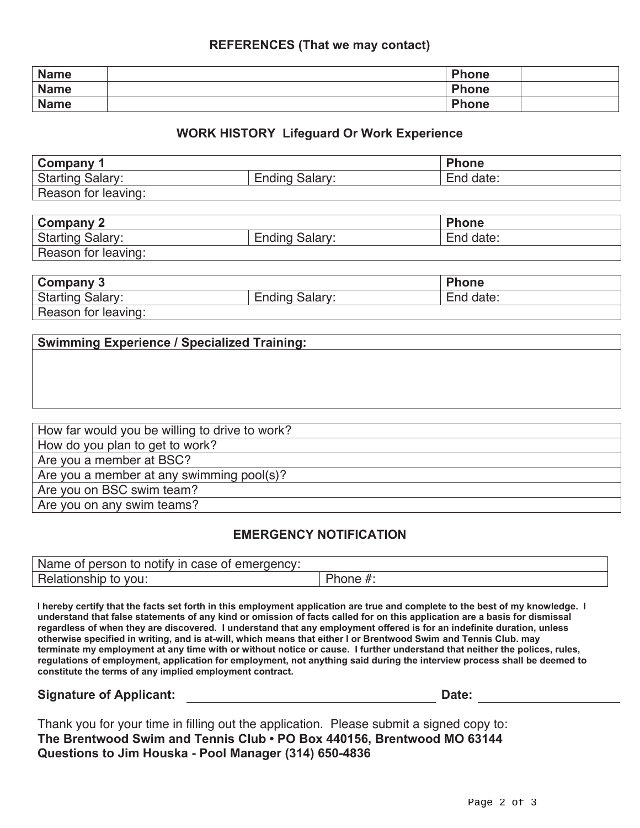#### **REFERENCES (That we may contact)**

| <b>Name</b> | <b>Phone</b> |  |
|-------------|--------------|--|
| <b>Name</b> | <b>Phone</b> |  |
| <b>Name</b> | <b>Phone</b> |  |

#### **WORK HISTORY Lifeguard Or Work Experience**

| Company 1               |                          | Phone     |
|-------------------------|--------------------------|-----------|
| <b>Starting Salary:</b> | Salary:<br><b>Ending</b> | End date: |
| Reason for leaving:     |                          |           |

| Company 2               |                       | <b>Phone</b> |
|-------------------------|-----------------------|--------------|
| <b>Starting Salary:</b> | <b>Ending Salary:</b> | End date:    |
| Reason for leaving:     |                       |              |

| Company 3               |                       | <b>Phone</b> |
|-------------------------|-----------------------|--------------|
| <b>Starting Salary:</b> | <b>Ending Salary:</b> | End date:    |
| Reason for leaving:     |                       |              |

| How far would you be willing to drive to work? |
|------------------------------------------------|
| How do you plan to get to work?                |
| Are you a member at BSC?                       |
| Are you a member at any swimming pool(s)?      |
| Are you on BSC swim team?                      |
| Are you on any swim teams?                     |

#### **EMERGENCY NOTIFICATION**

| Name of person to notify in case of emergency: |          |
|------------------------------------------------|----------|
| Relationship to<br>vou:                        | 'hone #. |

I hereby certify that the facts set forth in this employment application are true and complete to the best of my knowledge. I understand that false statements of any kind or omission of facts called for on this application are a basis for dismissal regardless of when they are discovered. I understand that any employment offered is for an indefinite duration, unless **otherwise specified in writing, and is at-will, which means that either I or Brentwood Swim and Tennis Club. may** terminate my employment at any time with or without notice or cause. I further understand that neither the polices, rules, **regulations of employment, application for employment, not anything said during the interview process shall be deemed to constitute the terms of any implied employment contract.**

# **Signature of Applicant: Date:**

| Thank you for your time in filling out the application. Please submit a signed copy to: |  |
|-----------------------------------------------------------------------------------------|--|
| The Brentwood Swim and Tennis Club • PO Box 440156, Brentwood MO 63144                  |  |
| Questions to Jim Houska - Pool Manager (314) 650-4836                                   |  |